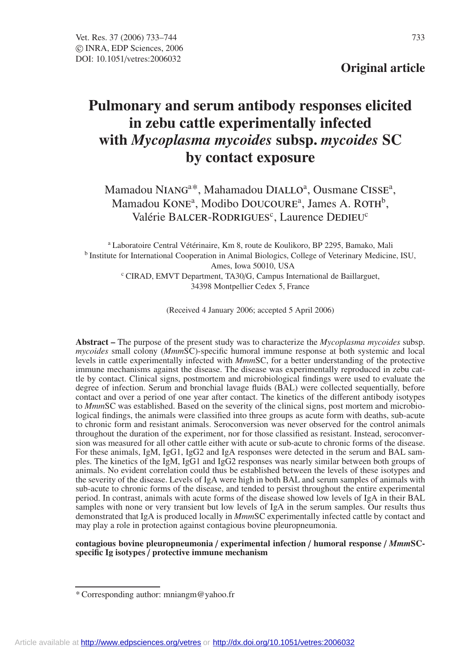## **Original article**

# **Pulmonary and serum antibody responses elicited in zebu cattle experimentally infected with** *Mycoplasma mycoides* **subsp.** *mycoides* **SC by contact exposure**

Mamadou NIANG<sup>a\*</sup>, Mahamadou DIALLO<sup>a</sup>, Ousmane CISSE<sup>a</sup>, Mamadou KONE<sup>a</sup>, Modibo DOUCOURE<sup>a</sup>, James A. ROTH<sup>b</sup>, Valérie BALCER-RODRIGUES<sup>c</sup>, Laurence DEDIEU<sup>c</sup>

<sup>a</sup> Laboratoire Central Vétérinaire, Km 8, route de Koulikoro, BP 2295, Bamako, Mali <sup>b</sup> Institute for International Cooperation in Animal Biologics, College of Veterinary Medicine, ISU, Ames, Iowa 50010, USA <sup>c</sup> CIRAD, EMVT Department, TA30/G, Campus International de Baillarguet, 34398 Montpellier Cedex 5, France

(Received 4 January 2006; accepted 5 April 2006)

**Abstract –** The purpose of the present study was to characterize the *Mycoplasma mycoides* subsp. *mycoides* small colony (*Mmm*SC)-specific humoral immune response at both systemic and local levels in cattle experimentally infected with *Mmm*SC, for a better understanding of the protective immune mechanisms against the disease. The disease was experimentally reproduced in zebu cattle by contact. Clinical signs, postmortem and microbiological findings were used to evaluate the degree of infection. Serum and bronchial lavage fluids (BAL) were collected sequentially, before contact and over a period of one year after contact. The kinetics of the different antibody isotypes to *Mmm*SC was established. Based on the severity of the clinical signs, post mortem and microbiological findings, the animals were classified into three groups as acute form with deaths, sub-acute to chronic form and resistant animals. Seroconversion was never observed for the control animals throughout the duration of the experiment, nor for those classified as resistant. Instead, seroconversion was measured for all other cattle either with acute or sub-acute to chronic forms of the disease. For these animals, IgM, IgG1, IgG2 and IgA responses were detected in the serum and BAL samples. The kinetics of the IgM, IgG1 and IgG2 responses was nearly similar between both groups of animals. No evident correlation could thus be established between the levels of these isotypes and the severity of the disease. Levels of IgA were high in both BAL and serum samples of animals with sub-acute to chronic forms of the disease, and tended to persist throughout the entire experimental period. In contrast, animals with acute forms of the disease showed low levels of IgA in their BAL samples with none or very transient but low levels of IgA in the serum samples. Our results thus demonstrated that IgA is produced locally in *Mmm*SC experimentally infected cattle by contact and may play a role in protection against contagious bovine pleuropneumonia.

**contagious bovine pleuropneumonia** / **experimental infection** / **humoral response** / *Mmm***SCspecific Ig isotypes** / **protective immune mechanism**

<sup>\*</sup> Corresponding author: mniangm@yahoo.fr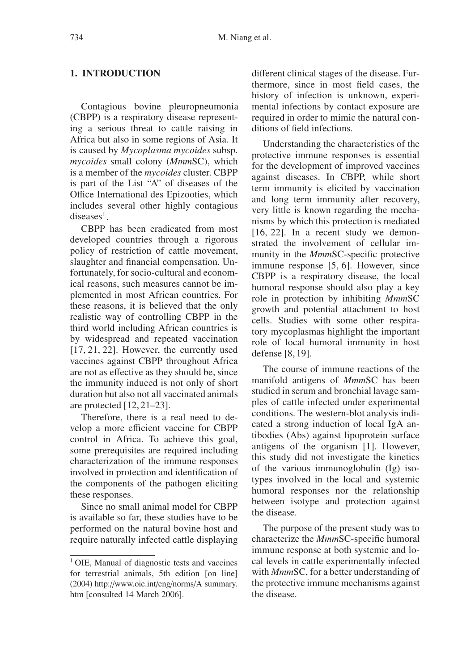#### **1. INTRODUCTION**

Contagious bovine pleuropneumonia (CBPP) is a respiratory disease representing a serious threat to cattle raising in Africa but also in some regions of Asia. It is caused by *Mycoplasma mycoides* subsp. *mycoides* small colony (*Mmm*SC), which is a member of the *mycoides* cluster. CBPP is part of the List "A" of diseases of the Office International des Epizooties, which includes several other highly contagious  $diseases<sup>1</sup>$ .

CBPP has been eradicated from most developed countries through a rigorous policy of restriction of cattle movement, slaughter and financial compensation. Unfortunately, for socio-cultural and economical reasons, such measures cannot be implemented in most African countries. For these reasons, it is believed that the only realistic way of controlling CBPP in the third world including African countries is by widespread and repeated vaccination [17, 21, 22]. However, the currently used vaccines against CBPP throughout Africa are not as effective as they should be, since the immunity induced is not only of short duration but also not all vaccinated animals are protected [12, 21–23].

Therefore, there is a real need to develop a more efficient vaccine for CBPP control in Africa. To achieve this goal, some prerequisites are required including characterization of the immune responses involved in protection and identification of the components of the pathogen eliciting these responses.

Since no small animal model for CBPP is available so far, these studies have to be performed on the natural bovine host and require naturally infected cattle displaying different clinical stages of the disease. Furthermore, since in most field cases, the history of infection is unknown, experimental infections by contact exposure are required in order to mimic the natural conditions of field infections.

Understanding the characteristics of the protective immune responses is essential for the development of improved vaccines against diseases. In CBPP, while short term immunity is elicited by vaccination and long term immunity after recovery, very little is known regarding the mechanisms by which this protection is mediated [16, 22]. In a recent study we demonstrated the involvement of cellular immunity in the *Mmm*SC-specific protective immune response [5, 6]. However, since CBPP is a respiratory disease, the local humoral response should also play a key role in protection by inhibiting *Mmm*SC growth and potential attachment to host cells. Studies with some other respiratory mycoplasmas highlight the important role of local humoral immunity in host defense [8, 19].

The course of immune reactions of the manifold antigens of *Mmm*SC has been studied in serum and bronchial lavage samples of cattle infected under experimental conditions. The western-blot analysis indicated a strong induction of local IgA antibodies (Abs) against lipoprotein surface antigens of the organism [1]. However, this study did not investigate the kinetics of the various immunoglobulin (Ig) isotypes involved in the local and systemic humoral responses nor the relationship between isotype and protection against the disease.

The purpose of the present study was to characterize the *Mmm*SC-specific humoral immune response at both systemic and local levels in cattle experimentally infected with *Mmm*SC, for a better understanding of the protective immune mechanisms against the disease.

<sup>&</sup>lt;sup>1</sup> OIE, Manual of diagnostic tests and vaccines for terrestrial animals, 5th edition [on line] (2004) http://www.oie.int/eng/norms/A summary. htm [consulted 14 March 2006].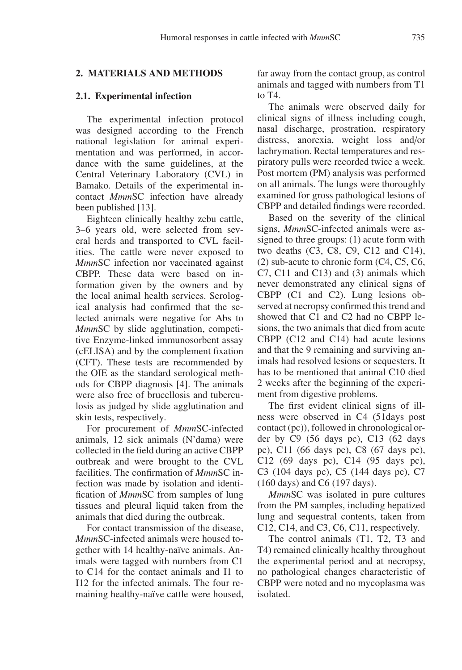#### **2. MATERIALS AND METHODS**

#### **2.1. Experimental infection**

The experimental infection protocol was designed according to the French national legislation for animal experimentation and was performed, in accordance with the same guidelines, at the Central Veterinary Laboratory (CVL) in Bamako. Details of the experimental incontact *Mmm*SC infection have already been published [13].

Eighteen clinically healthy zebu cattle, 3–6 years old, were selected from several herds and transported to CVL facilities. The cattle were never exposed to *Mmm*SC infection nor vaccinated against CBPP. These data were based on information given by the owners and by the local animal health services. Serological analysis had confirmed that the selected animals were negative for Abs to *Mmm*SC by slide agglutination, competitive Enzyme-linked immunosorbent assay (cELISA) and by the complement fixation (CFT). These tests are recommended by the OIE as the standard serological methods for CBPP diagnosis [4]. The animals were also free of brucellosis and tuberculosis as judged by slide agglutination and skin tests, respectively.

For procurement of *Mmm*SC-infected animals, 12 sick animals (N'dama) were collected in the field during an active CBPP outbreak and were brought to the CVL facilities. The confirmation of *Mmm*SC infection was made by isolation and identification of *Mmm*SC from samples of lung tissues and pleural liquid taken from the animals that died during the outbreak.

For contact transmission of the disease, *Mmm*SC-infected animals were housed together with 14 healthy-naïve animals. Animals were tagged with numbers from C1 to C14 for the contact animals and I1 to I12 for the infected animals. The four remaining healthy-naïve cattle were housed, far away from the contact group, as control animals and tagged with numbers from T1 to T4.

The animals were observed daily for clinical signs of illness including cough, nasal discharge, prostration, respiratory distress, anorexia, weight loss and/or lachrymation. Rectal temperatures and respiratory pulls were recorded twice a week. Post mortem (PM) analysis was performed on all animals. The lungs were thoroughly examined for gross pathological lesions of CBPP and detailed findings were recorded.

Based on the severity of the clinical signs, *Mmm*SC-infected animals were assigned to three groups: (1) acute form with two deaths (C3, C8, C9, C12 and C14), (2) sub-acute to chronic form (C4, C5, C6, C7, C11 and C13) and (3) animals which never demonstrated any clinical signs of CBPP (C1 and C2). Lung lesions observed at necropsy confirmed this trend and showed that C1 and C2 had no CBPP lesions, the two animals that died from acute CBPP (C12 and C14) had acute lesions and that the 9 remaining and surviving animals had resolved lesions or sequesters. It has to be mentioned that animal C10 died 2 weeks after the beginning of the experiment from digestive problems.

The first evident clinical signs of illness were observed in C4 (51days post contact (pc)), followed in chronological order by C9 (56 days pc), C13 (62 days pc), C11 (66 days pc), C8 (67 days pc), C12 (69 days pc), C14 (95 days pc), C3 (104 days pc), C5 (144 days pc), C7 (160 days) and C6 (197 days).

*Mmm*SC was isolated in pure cultures from the PM samples, including hepatized lung and sequestral contents, taken from C12, C14, and C3, C6, C11, respectively.

The control animals (T1, T2, T3 and T4) remained clinically healthy throughout the experimental period and at necropsy, no pathological changes characteristic of CBPP were noted and no mycoplasma was isolated.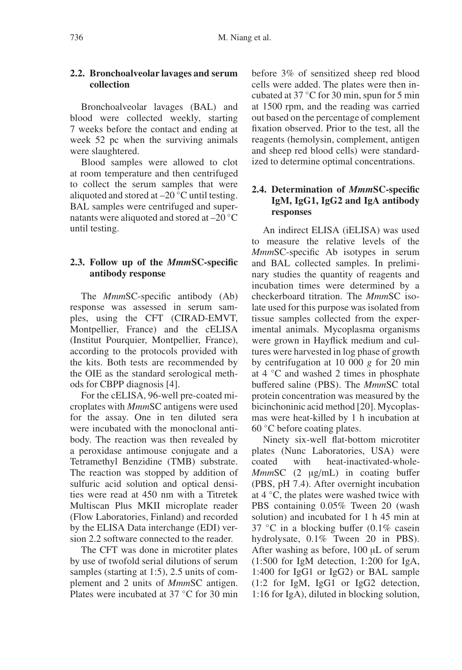## **2.2. Bronchoalveolar lavages and serum collection**

Bronchoalveolar lavages (BAL) and blood were collected weekly, starting 7 weeks before the contact and ending at week 52 pc when the surviving animals were slaughtered.

Blood samples were allowed to clot at room temperature and then centrifuged to collect the serum samples that were aliquoted and stored at  $-20\degree C$  until testing. BAL samples were centrifuged and supernatants were aliquoted and stored at –20 ◦C until testing.

## **2.3. Follow up of the** *Mmm***SC-specific antibody response**

The *Mmm*SC-specific antibody (Ab) response was assessed in serum samples, using the CFT (CIRAD-EMVT, Montpellier, France) and the cELISA (Institut Pourquier, Montpellier, France), according to the protocols provided with the kits. Both tests are recommended by the OIE as the standard serological methods for CBPP diagnosis [4].

For the cELISA, 96-well pre-coated microplates with *Mmm*SC antigens were used for the assay. One in ten diluted sera were incubated with the monoclonal antibody. The reaction was then revealed by a peroxidase antimouse conjugate and a Tetramethyl Benzidine (TMB) substrate. The reaction was stopped by addition of sulfuric acid solution and optical densities were read at 450 nm with a Titretek Multiscan Plus MKII microplate reader (Flow Laboratories, Finland) and recorded by the ELISA Data interchange (EDI) version 2.2 software connected to the reader.

The CFT was done in microtiter plates by use of twofold serial dilutions of serum samples (starting at 1:5), 2.5 units of complement and 2 units of *Mmm*SC antigen. Plates were incubated at 37 ◦C for 30 min

before 3% of sensitized sheep red blood cells were added. The plates were then incubated at 37 ◦C for 30 min, spun for 5 min at 1500 rpm, and the reading was carried out based on the percentage of complement fixation observed. Prior to the test, all the reagents (hemolysin, complement, antigen and sheep red blood cells) were standardized to determine optimal concentrations.

## **2.4. Determination of** *Mmm***SC-specific IgM, IgG1, IgG2 and IgA antibody responses**

An indirect ELISA (iELISA) was used to measure the relative levels of the *Mmm*SC-specific Ab isotypes in serum and BAL collected samples. In preliminary studies the quantity of reagents and incubation times were determined by a checkerboard titration. The *Mmm*SC isolate used for this purpose was isolated from tissue samples collected from the experimental animals. Mycoplasma organisms were grown in Hayflick medium and cultures were harvested in log phase of growth by centrifugation at 10 000 *g* for 20 min at 4 ◦C and washed 2 times in phosphate buffered saline (PBS). The *Mmm*SC total protein concentration was measured by the bicinchoninic acid method [20]. Mycoplasmas were heat-killed by 1 h incubation at 60 ◦C before coating plates.

Ninety six-well flat-bottom microtiter plates (Nunc Laboratories, USA) were coated with heat-inactivated-whole-*MmmSC* (2 µg/mL) in coating buffer (PBS, pH 7.4). After overnight incubation at 4 ◦C, the plates were washed twice with PBS containing 0.05% Tween 20 (wash solution) and incubated for 1 h 45 min at 37 ◦C in a blocking buffer (0.1% casein hydrolysate, 0.1% Tween 20 in PBS). After washing as before, 100 µL of serum (1:500 for IgM detection, 1:200 for IgA, 1:400 for IgG1 or IgG2) or BAL sample (1:2 for IgM, IgG1 or IgG2 detection, 1:16 for IgA), diluted in blocking solution,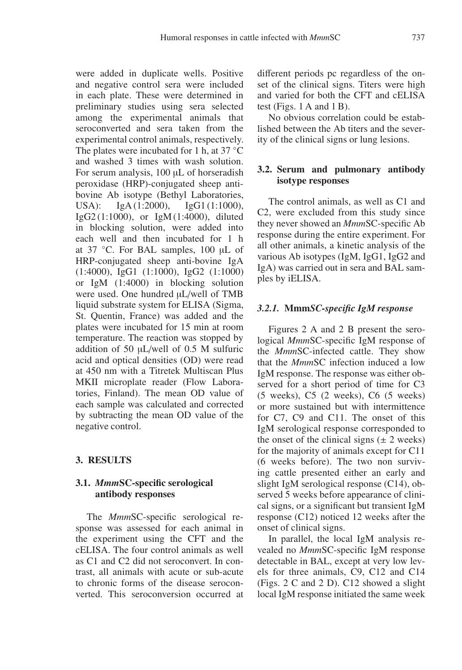were added in duplicate wells. Positive and negative control sera were included in each plate. These were determined in preliminary studies using sera selected among the experimental animals that seroconverted and sera taken from the experimental control animals, respectively. The plates were incubated for 1 h, at 37 °C and washed 3 times with wash solution. For serum analysis, 100 µL of horseradish peroxidase (HRP)-conjugated sheep antibovine Ab isotype (Bethyl Laboratories, USA): IgA (1:2000), IgG1 (1:1000), IgG2 (1:1000), or IgM (1:4000), diluted in blocking solution, were added into each well and then incubated for 1 h at 37 ◦C. For BAL samples, 100 µL of HRP-conjugated sheep anti-bovine IgA (1:4000), IgG1 (1:1000), IgG2 (1:1000) or IgM (1:4000) in blocking solution were used. One hundred  $\mu$ L/well of TMB liquid substrate system for ELISA (Sigma, St. Quentin, France) was added and the plates were incubated for 15 min at room temperature. The reaction was stopped by addition of 50 µL/well of 0.5 M sulfuric acid and optical densities (OD) were read at 450 nm with a Titretek Multiscan Plus MKII microplate reader (Flow Laboratories, Finland). The mean OD value of each sample was calculated and corrected by subtracting the mean OD value of the negative control.

## **3. RESULTS**

## **3.1.** *Mmm***SC-specific serological antibody responses**

The *Mmm*SC-specific serological response was assessed for each animal in the experiment using the CFT and the cELISA. The four control animals as well as C1 and C2 did not seroconvert. In contrast, all animals with acute or sub-acute to chronic forms of the disease seroconverted. This seroconversion occurred at different periods pc regardless of the onset of the clinical signs. Titers were high and varied for both the CFT and cELISA test (Figs.  $1 \text{ A}$  and  $1 \text{ B}$ ).

No obvious correlation could be established between the Ab titers and the severity of the clinical signs or lung lesions.

## **3.2. Serum and pulmonary antibody isotype responses**

The control animals, as well as C1 and C2, were excluded from this study since they never showed an *Mmm*SC-specific Ab response during the entire experiment. For all other animals, a kinetic analysis of the various Ab isotypes (IgM, IgG1, IgG2 and IgA) was carried out in sera and BAL samples by iELISA.

### *3.2.1.* **Mmm***SC-specific IgM response*

Figures 2 A and 2 B present the serological *Mmm*SC-specific IgM response of the *Mmm*SC-infected cattle. They show that the *Mmm*SC infection induced a low IgM response. The response was either observed for a short period of time for C3 (5 weeks), C5 (2 weeks), C6 (5 weeks) or more sustained but with intermittence for C7, C9 and C11. The onset of this IgM serological response corresponded to the onset of the clinical signs  $(\pm 2$  weeks) for the majority of animals except for C11 (6 weeks before). The two non surviving cattle presented either an early and slight IgM serological response (C14), observed 5 weeks before appearance of clinical signs, or a significant but transient IgM response (C12) noticed 12 weeks after the onset of clinical signs.

In parallel, the local IgM analysis revealed no *Mmm*SC-specific IgM response detectable in BAL, except at very low levels for three animals, C9, C12 and C14 (Figs. 2 C and 2 D). C12 showed a slight local IgM response initiated the same week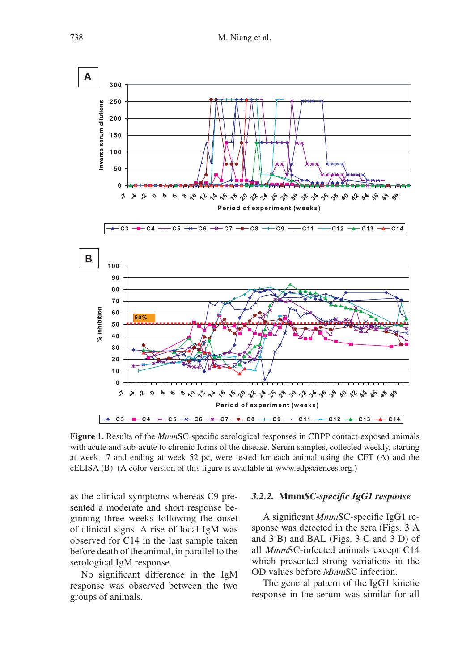

**Figure 1.** Results of the *Mmm*SC-specific serological responses in CBPP contact-exposed animals with acute and sub-acute to chronic forms of the disease. Serum samples, collected weekly, starting at week –7 and ending at week 52 pc, were tested for each animal using the CFT (A) and the cELISA (B). (A color version of this figure is available at www.edpsciences.org.)

as the clinical symptoms whereas C9 presented a moderate and short response beginning three weeks following the onset of clinical signs. A rise of local IgM was observed for C14 in the last sample taken before death of the animal, in parallel to the serological IgM response.

No significant difference in the IgM response was observed between the two groups of animals.

## *3.2.2.* **Mmm***SC-specific IgG1 response*

A significant *Mmm*SC-specific IgG1 response was detected in the sera (Figs. 3 A and 3 B) and BAL (Figs. 3 C and 3 D) of all *Mmm*SC-infected animals except C14 which presented strong variations in the OD values before *Mmm*SC infection.

The general pattern of the IgG1 kinetic response in the serum was similar for all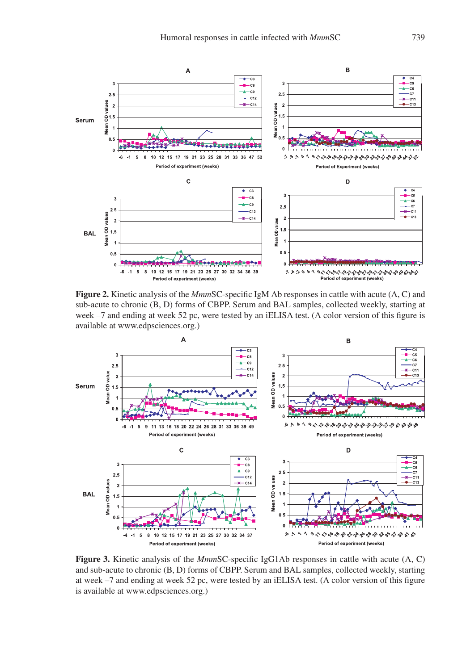

**Figure 2.** Kinetic analysis of the *Mmm*SC-specific IgM Ab responses in cattle with acute (A, C) and sub-acute to chronic (B, D) forms of CBPP. Serum and BAL samples, collected weekly, starting at week –7 and ending at week 52 pc, were tested by an iELISA test. (A color version of this figure is available at www.edpsciences.org.)



**Figure 3.** Kinetic analysis of the *Mmm*SC-specific IgG1Ab responses in cattle with acute (A, C) and sub-acute to chronic (B, D) forms of CBPP. Serum and BAL samples, collected weekly, starting at week –7 and ending at week 52 pc, were tested by an iELISA test. (A color version of this figure is available at www.edpsciences.org.)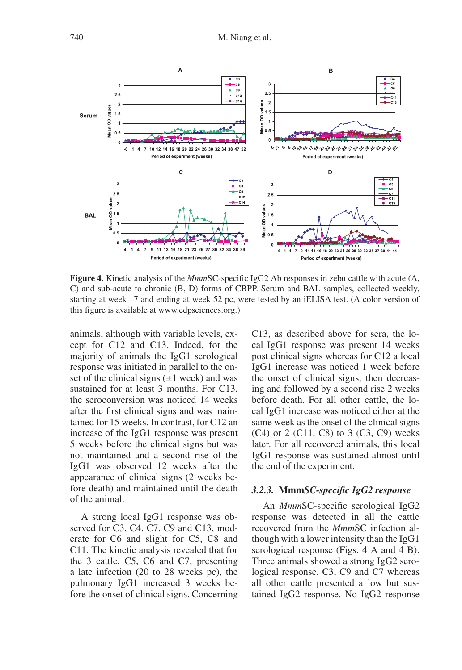

**Figure 4.** Kinetic analysis of the *Mmm*SC-specific IgG2 Ab responses in zebu cattle with acute (A, C) and sub-acute to chronic (B, D) forms of CBPP. Serum and BAL samples, collected weekly, starting at week –7 and ending at week 52 pc, were tested by an iELISA test. (A color version of this figure is available at www.edpsciences.org.)

animals, although with variable levels, except for C12 and C13. Indeed, for the majority of animals the IgG1 serological response was initiated in parallel to the onset of the clinical signs  $(\pm 1$  week) and was sustained for at least 3 months. For C13, the seroconversion was noticed 14 weeks after the first clinical signs and was maintained for 15 weeks. In contrast, for C12 an increase of the IgG1 response was present 5 weeks before the clinical signs but was not maintained and a second rise of the IgG1 was observed 12 weeks after the appearance of clinical signs (2 weeks before death) and maintained until the death of the animal.

A strong local IgG1 response was observed for C3, C4, C7, C9 and C13, moderate for C6 and slight for C5, C8 and C11. The kinetic analysis revealed that for the 3 cattle, C5, C6 and C7, presenting a late infection (20 to 28 weeks pc), the pulmonary IgG1 increased 3 weeks before the onset of clinical signs. Concerning

C13, as described above for sera, the local IgG1 response was present 14 weeks post clinical signs whereas for C12 a local IgG1 increase was noticed 1 week before the onset of clinical signs, then decreasing and followed by a second rise 2 weeks before death. For all other cattle, the local IgG1 increase was noticed either at the same week as the onset of the clinical signs  $(C4)$  or 2  $(C11, C8)$  to 3  $(C3, C9)$  weeks later. For all recovered animals, this local IgG1 response was sustained almost until the end of the experiment.

#### *3.2.3.* **Mmm***SC-specific IgG2 response*

An *Mmm*SC-specific serological IgG2 response was detected in all the cattle recovered from the *Mmm*SC infection although with a lower intensity than the IgG1 serological response (Figs. 4 A and 4 B). Three animals showed a strong IgG2 serological response, C3, C9 and C7 whereas all other cattle presented a low but sustained IgG2 response. No IgG2 response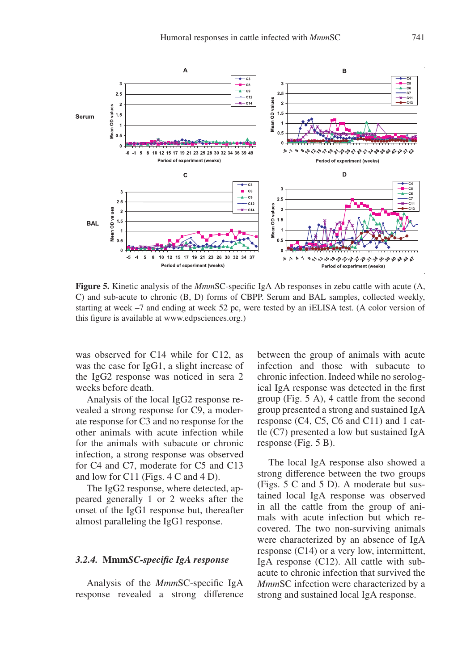

**Figure 5.** Kinetic analysis of the *Mmm*SC-specific IgA Ab responses in zebu cattle with acute (A, C) and sub-acute to chronic (B, D) forms of CBPP. Serum and BAL samples, collected weekly, starting at week –7 and ending at week 52 pc, were tested by an iELISA test. (A color version of this figure is available at www.edpsciences.org.)

was observed for C14 while for C12, as was the case for IgG1, a slight increase of the IgG2 response was noticed in sera 2 weeks before death.

Analysis of the local IgG2 response revealed a strong response for C9, a moderate response for C3 and no response for the other animals with acute infection while for the animals with subacute or chronic infection, a strong response was observed for C4 and C7, moderate for C5 and C13 and low for C11 (Figs. 4 C and 4 D).

The IgG2 response, where detected, appeared generally 1 or 2 weeks after the onset of the IgG1 response but, thereafter almost paralleling the IgG1 response.

#### *3.2.4.* **Mmm***SC-specific IgA response*

Analysis of the *Mmm*SC-specific IgA response revealed a strong difference between the group of animals with acute infection and those with subacute to chronic infection. Indeed while no serological IgA response was detected in the first group (Fig. 5 A), 4 cattle from the second group presented a strong and sustained IgA response (C4, C5, C6 and C11) and 1 cattle (C7) presented a low but sustained IgA response (Fig. 5 B).

The local IgA response also showed a strong difference between the two groups (Figs. 5 C and 5 D). A moderate but sustained local IgA response was observed in all the cattle from the group of animals with acute infection but which recovered. The two non-surviving animals were characterized by an absence of IgA response (C14) or a very low, intermittent, IgA response (C12). All cattle with subacute to chronic infection that survived the *Mmm*SC infection were characterized by a strong and sustained local IgA response.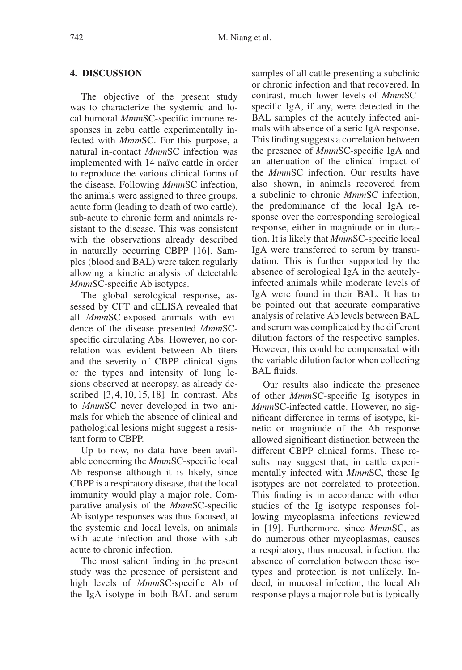#### **4. DISCUSSION**

The objective of the present study was to characterize the systemic and local humoral *Mmm*SC-specific immune responses in zebu cattle experimentally infected with *Mmm*SC. For this purpose, a natural in-contact *Mmm*SC infection was implemented with 14 naïve cattle in order to reproduce the various clinical forms of the disease. Following *Mmm*SC infection, the animals were assigned to three groups, acute form (leading to death of two cattle), sub-acute to chronic form and animals resistant to the disease. This was consistent with the observations already described in naturally occurring CBPP [16]. Samples (blood and BAL) were taken regularly allowing a kinetic analysis of detectable *Mmm*SC-specific Ab isotypes.

The global serological response, assessed by CFT and cELISA revealed that all *Mmm*SC-exposed animals with evidence of the disease presented *Mmm*SCspecific circulating Abs. However, no correlation was evident between Ab titers and the severity of CBPP clinical signs or the types and intensity of lung lesions observed at necropsy, as already described [3, 4, 10, 15, 18]. In contrast, Abs to *Mmm*SC never developed in two animals for which the absence of clinical and pathological lesions might suggest a resistant form to CBPP.

Up to now, no data have been available concerning the *Mmm*SC-specific local Ab response although it is likely, since CBPP is a respiratory disease, that the local immunity would play a major role. Comparative analysis of the *Mmm*SC-specific Ab isotype responses was thus focused, at the systemic and local levels, on animals with acute infection and those with sub acute to chronic infection.

The most salient finding in the present study was the presence of persistent and high levels of *Mmm*SC-specific Ab of the IgA isotype in both BAL and serum

samples of all cattle presenting a subclinic or chronic infection and that recovered. In contrast, much lower levels of *Mmm*SCspecific IgA, if any, were detected in the BAL samples of the acutely infected animals with absence of a seric IgA response. This finding suggests a correlation between the presence of *Mmm*SC-specific IgA and an attenuation of the clinical impact of the *Mmm*SC infection. Our results have also shown, in animals recovered from a subclinic to chronic *Mmm*SC infection, the predominance of the local IgA response over the corresponding serological response, either in magnitude or in duration. It is likely that *Mmm*SC-specific local IgA were transferred to serum by transudation. This is further supported by the absence of serological IgA in the acutelyinfected animals while moderate levels of IgA were found in their BAL. It has to be pointed out that accurate comparative analysis of relative Ab levels between BAL and serum was complicated by the different dilution factors of the respective samples. However, this could be compensated with the variable dilution factor when collecting BAL fluids.

Our results also indicate the presence of other *Mmm*SC-specific Ig isotypes in *Mmm*SC-infected cattle. However, no significant difference in terms of isotype, kinetic or magnitude of the Ab response allowed significant distinction between the different CBPP clinical forms. These results may suggest that, in cattle experimentally infected with *Mmm*SC, these Ig isotypes are not correlated to protection. This finding is in accordance with other studies of the Ig isotype responses following mycoplasma infections reviewed in [19]. Furthermore, since *Mmm*SC, as do numerous other mycoplasmas, causes a respiratory, thus mucosal, infection, the absence of correlation between these isotypes and protection is not unlikely. Indeed, in mucosal infection, the local Ab response plays a major role but is typically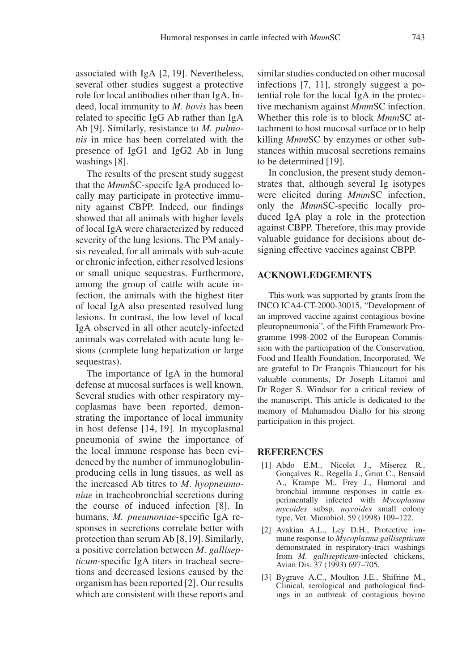associated with IgA [2, 19]. Nevertheless, several other studies suggest a protective role for local antibodies other than IgA. Indeed, local immunity to *M. bovis* has been related to specific IgG Ab rather than IgA Ab [9]. Similarly, resistance to *M. pulmonis* in mice has been correlated with the presence of IgG1 and IgG2 Ab in lung washings [8].

The results of the present study suggest that the *Mmm*SC-specifc IgA produced locally may participate in protective immunity against CBPP. Indeed, our findings showed that all animals with higher levels of local IgA were characterized by reduced severity of the lung lesions. The PM analysis revealed, for all animals with sub-acute or chronic infection, either resolved lesions or small unique sequestras. Furthermore, among the group of cattle with acute infection, the animals with the highest titer of local IgA also presented resolved lung lesions. In contrast, the low level of local IgA observed in all other acutely-infected animals was correlated with acute lung lesions (complete lung hepatization or large sequestras).

The importance of IgA in the humoral defense at mucosal surfaces is well known. Several studies with other respiratory mycoplasmas have been reported, demonstrating the importance of local immunity in host defense [14, 19]. In mycoplasmal pneumonia of swine the importance of the local immune response has been evidenced by the number of immunoglobulinproducing cells in lung tissues, as well as the increased Ab titres to *M*. *hyopneumoniae* in tracheobronchial secretions during the course of induced infection [8]. In humans, *M. pneumoniae*-specific IgA responses in secretions correlate better with protection than serum Ab [8,19]. Similarly, a positive correlation between *M*. *gallisepticum*-specific IgA titers in tracheal secretions and decreased lesions caused by the organism has been reported [2]. Our results which are consistent with these reports and similar studies conducted on other mucosal infections [7, 11], strongly suggest a potential role for the local IgA in the protective mechanism against *Mmm*SC infection. Whether this role is to block *Mmm*SC attachment to host mucosal surface or to help killing *Mmm*SC by enzymes or other substances within mucosal secretions remains to be determined [19].

In conclusion, the present study demonstrates that, although several Ig isotypes were elicited during *Mmm*SC infection, only the *Mmm*SC-specific locally produced IgA play a role in the protection against CBPP. Therefore, this may provide valuable guidance for decisions about designing effective vaccines against CBPP.

#### **ACKNOWLEDGEMENTS**

This work was supported by grants from the INCO ICA4-CT-2000-30015, "Development of an improved vaccine against contagious bovine pleuropneumonia", of the Fifth Framework Programme 1998-2002 of the European Commission with the participation of the Conservation, Food and Health Foundation, Incorporated. We are grateful to Dr François Thiaucourt for his valuable comments, Dr Joseph Litamoi and Dr Roger S. Windsor for a critical review of the manuscript. This article is dedicated to the memory of Mahamadou Diallo for his strong participation in this project.

#### **REFERENCES**

- [1] Abdo E.M., Nicolet J., Miserez R., Gonçalves R., Regella J., Griot C., Bensaid A., Krampe M., Frey J., Humoral and bronchial immune responses in cattle experimentally infected with *Mycoplasma mycoides* subsp. *mycoides* small colony type, Vet. Microbiol. 59 (1998) 109–122.
- [2] Avakian A.L., Ley D.H., Protective immune response to *Mycoplasma gallisepticum* demonstrated in respiratory-tract washings from *M. gallisepticum*-infected chickens, Avian Dis. 37 (1993) 697–705.
- [3] Bygrave A.C., Moulton J.E., Shifrine M., Clinical, serological and pathological findings in an outbreak of contagious bovine